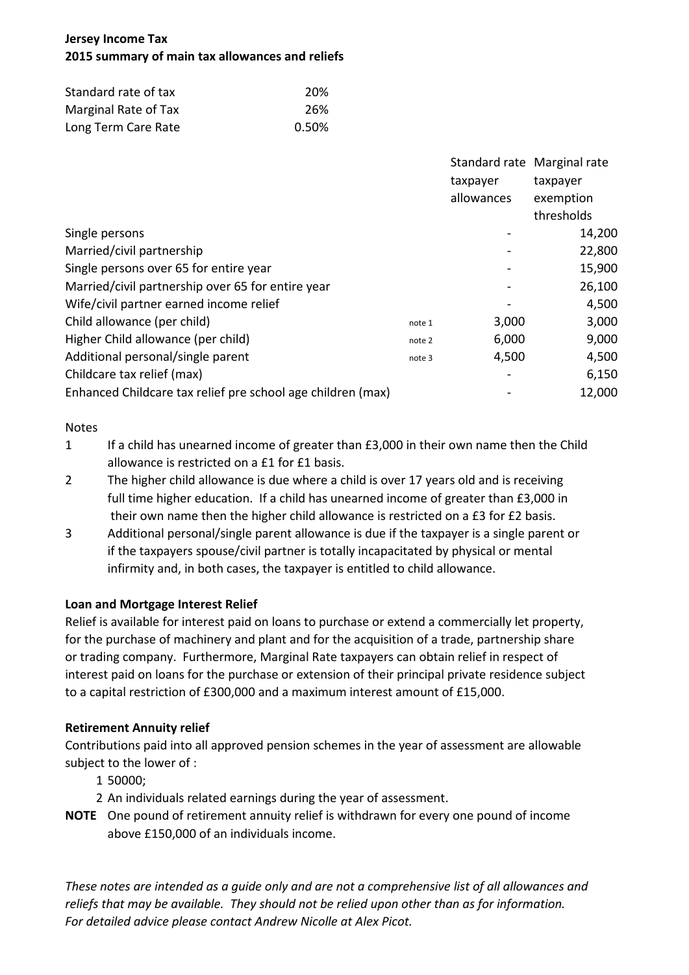# **Jersey Income Tax 2015 summary of main tax allowances and reliefs**

| Standard rate of tax | 20%   |
|----------------------|-------|
| Marginal Rate of Tax | 26%   |
| Long Term Care Rate  | 0.50% |

|                                                             |        |            | Standard rate Marginal rate |
|-------------------------------------------------------------|--------|------------|-----------------------------|
|                                                             |        | taxpayer   | taxpayer                    |
|                                                             |        | allowances | exemption                   |
|                                                             |        |            | thresholds                  |
| Single persons                                              |        |            | 14,200                      |
| Married/civil partnership                                   |        |            | 22,800                      |
| Single persons over 65 for entire year                      |        |            | 15,900                      |
| Married/civil partnership over 65 for entire year           |        |            | 26,100                      |
| Wife/civil partner earned income relief                     |        |            | 4,500                       |
| Child allowance (per child)                                 | note 1 | 3,000      | 3,000                       |
| Higher Child allowance (per child)                          | note 2 | 6,000      | 9,000                       |
| Additional personal/single parent                           | note 3 | 4,500      | 4,500                       |
| Childcare tax relief (max)                                  |        |            | 6,150                       |
| Enhanced Childcare tax relief pre school age children (max) |        |            | 12,000                      |

#### **Notes**

- 1 If a child has unearned income of greater than £3,000 in their own name then the Child allowance is restricted on a £1 for £1 basis.
- 2 The higher child allowance is due where a child is over 17 years old and is receiving full time higher education. If a child has unearned income of greater than £3,000 in their own name then the higher child allowance is restricted on a £3 for £2 basis.
- 3 Additional personal/single parent allowance is due if the taxpayer is a single parent or if the taxpayers spouse/civil partner is totally incapacitated by physical or mental infirmity and, in both cases, the taxpayer is entitled to child allowance.

## **Loan and Mortgage Interest Relief**

Relief is available for interest paid on loans to purchase or extend a commercially let property, for the purchase of machinery and plant and for the acquisition of a trade, partnership share or trading company. Furthermore, Marginal Rate taxpayers can obtain relief in respect of interest paid on loans for the purchase or extension of their principal private residence subject to a capital restriction of £300,000 and a maximum interest amount of £15,000.

## **Retirement Annuity relief**

Contributions paid into all approved pension schemes in the year of assessment are allowable subject to the lower of :

- 1 50000;
- 2 An individuals related earnings during the year of assessment.
- **NOTE** One pound of retirement annuity relief is withdrawn for every one pound of income above £150,000 of an individuals income.

*These notes are intended as a guide only and are not a comprehensive list of all allowances and reliefs that may be available. They should not be relied upon other than as for information. For detailed advice please contact Andrew Nicolle at Alex Picot.*